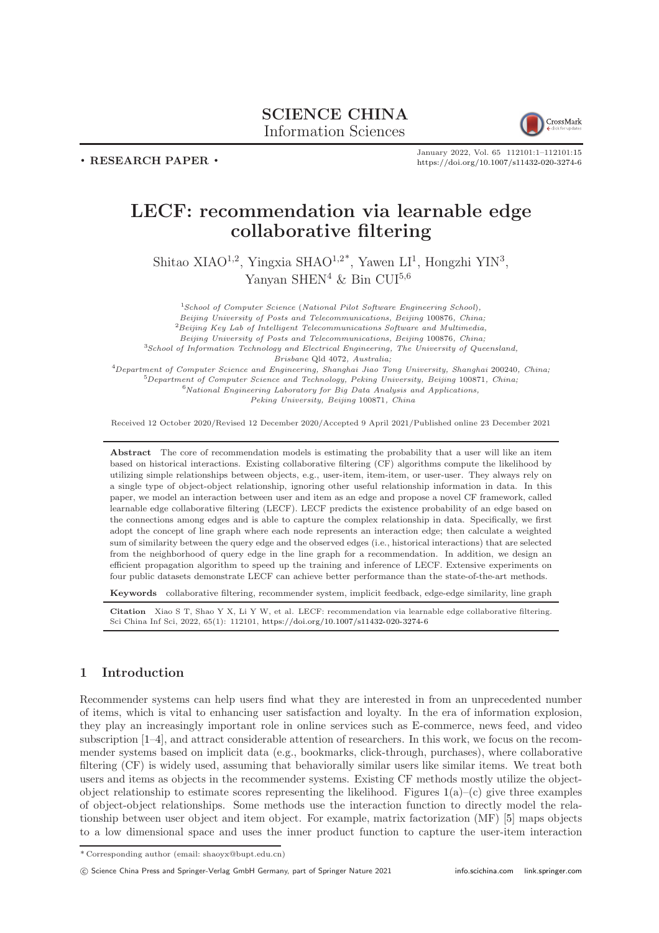# SCIENCE CHINA Information Sciences



. RESEARCH PAPER .

January 2022, Vol. 65 112101:1–112101[:15](#page-14-0) <https://doi.org/10.1007/s11432-020-3274-6>

# LECF: recommendation via learnable edge collaborative filtering

Shitao XIAO<sup>1,2</sup>, Yingxia SHAO<sup>1,2\*</sup>, Yawen LI<sup>1</sup>, Hongzhi YIN<sup>3</sup>, Yanyan SHEN<sup>4</sup> & Bin CUI<sup>5,6</sup>

<sup>1</sup>School of Computer Science (National Pilot Software Engineering School), Beijing University of Posts and Telecommunications, Beijing 100876, China;  ${}^{2}Beijing$  Key Lab of Intelligent Telecommunications Software and Multimedia, Beijing University of Posts and Telecommunications, Beijing 100876, China; <sup>3</sup>School of Information Technology and Electrical Engineering, The University of Queensland, Brisbane Qld 4072, Australia;

<sup>4</sup>Department of Computer Science and Engineering, Shanghai Jiao Tong University, Shanghai 200240, China;  $5$ Department of Computer Science and Technology, Peking University, Beijing 100871, China;  $^6$  National Engineering Laboratory for Big Data Analysis and Applications, Peking University, Beijing 100871, China

Received 12 October 2020/Revised 12 December 2020/Accepted 9 April 2021/Published online 23 December 2021

Abstract The core of recommendation models is estimating the probability that a user will like an item based on historical interactions. Existing collaborative filtering (CF) algorithms compute the likelihood by utilizing simple relationships between objects, e.g., user-item, item-item, or user-user. They always rely on a single type of object-object relationship, ignoring other useful relationship information in data. In this paper, we model an interaction between user and item as an edge and propose a novel CF framework, called learnable edge collaborative filtering (LECF). LECF predicts the existence probability of an edge based on the connections among edges and is able to capture the complex relationship in data. Specifically, we first adopt the concept of line graph where each node represents an interaction edge; then calculate a weighted sum of similarity between the query edge and the observed edges (i.e., historical interactions) that are selected from the neighborhood of query edge in the line graph for a recommendation. In addition, we design an efficient propagation algorithm to speed up the training and inference of LECF. Extensive experiments on four public datasets demonstrate LECF can achieve better performance than the state-of-the-art methods.

Keywords collaborative filtering, recommender system, implicit feedback, edge-edge similarity, line graph

Citation Xiao S T, Shao Y X, Li Y W, et al. LECF: recommendation via learnable edge collaborative filtering. Sci China Inf Sci, 2022, 65(1): 112101, <https://doi.org/10.1007/s11432-020-3274-6>

# 1 Introduction

Recommender systems can help users find what they are interested in from an unprecedented number of items, which is vital to enhancing user satisfaction and loyalty. In the era of information explosion, they play an increasingly important role in online services such as E-commerce, news feed, and video subscription [\[1](#page-13-0)[–4\]](#page-14-1), and attract considerable attention of researchers. In this work, we focus on the recommender systems based on implicit data (e.g., bookmarks, click-through, purchases), where collaborative filtering (CF) is widely used, assuming that behaviorally similar users like similar items. We treat both users and items as objects in the recommender systems. Existing CF methods mostly utilize the objectobject relationship to estimate scores representing the likelihood. Figures  $1(a)$  $1(a)$ –(c) give three examples of object-object relationships. Some methods use the interaction function to directly model the relationship between user object and item object. For example, matrix factorization (MF) [\[5\]](#page-14-2) maps objects to a low dimensional space and uses the inner product function to capture the user-item interaction

<sup>\*</sup> Corresponding author (email: shaoyx@bupt.edu.cn)

c Science China Press and Springer-Verlag GmbH Germany, part of Springer Nature 2021 <info.scichina.com><link.springer.com>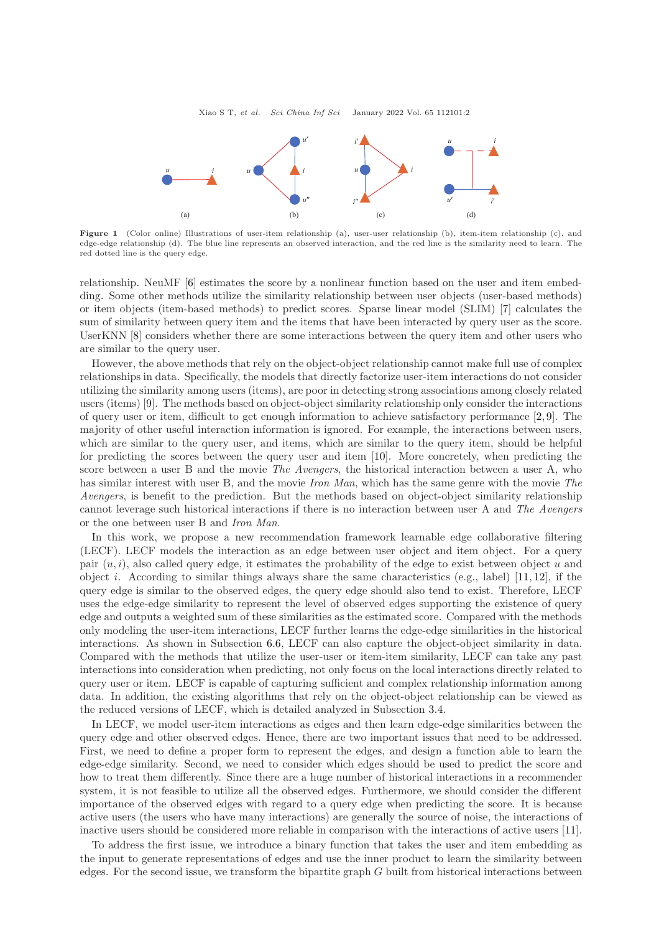<span id="page-1-0"></span>

Figure 1 (Color online) Illustrations of user-item relationship (a), user-user relationship (b), item-item relationship (c), and edge-edge relationship (d). The blue line represents an observed interaction, and the red line is the similarity need to learn. The red dotted line is the query edge.

relationship. NeuMF [\[6\]](#page-14-3) estimates the score by a nonlinear function based on the user and item embedding. Some other methods utilize the similarity relationship between user objects (user-based methods) or item objects (item-based methods) to predict scores. Sparse linear model (SLIM) [\[7\]](#page-14-4) calculates the sum of similarity between query item and the items that have been interacted by query user as the score. UserKNN [\[8\]](#page-14-5) considers whether there are some interactions between the query item and other users who are similar to the query user.

However, the above methods that rely on the object-object relationship cannot make full use of complex relationships in data. Specifically, the models that directly factorize user-item interactions do not consider utilizing the similarity among users (items), are poor in detecting strong associations among closely related users (items) [\[9\]](#page-14-6). The methods based on object-object similarity relationship only consider the interactions of query user or item, difficult to get enough information to achieve satisfactory performance  $[2, 9]$  $[2, 9]$ . The majority of other useful interaction information is ignored. For example, the interactions between users, which are similar to the query user, and items, which are similar to the query item, should be helpful for predicting the scores between the query user and item [\[10\]](#page-14-8). More concretely, when predicting the score between a user B and the movie *The Avengers*, the historical interaction between a user A, who has similar interest with user B, and the movie Iron Man, which has the same genre with the movie The Avengers, is benefit to the prediction. But the methods based on object-object similarity relationship cannot leverage such historical interactions if there is no interaction between user A and The Avengers or the one between user B and Iron Man.

In this work, we propose a new recommendation framework learnable edge collaborative filtering (LECF). LECF models the interaction as an edge between user object and item object. For a query pair  $(u, i)$ , also called query edge, it estimates the probability of the edge to exist between object u and object *i.* According to similar things always share the same characteristics (e.g., label) [\[11,](#page-14-9) [12\]](#page-14-10), if the query edge is similar to the observed edges, the query edge should also tend to exist. Therefore, LECF uses the edge-edge similarity to represent the level of observed edges supporting the existence of query edge and outputs a weighted sum of these similarities as the estimated score. Compared with the methods only modeling the user-item interactions, LECF further learns the edge-edge similarities in the historical interactions. As shown in Subsection [6.6,](#page-12-0) LECF can also capture the object-object similarity in data. Compared with the methods that utilize the user-user or item-item similarity, LECF can take any past interactions into consideration when predicting, not only focus on the local interactions directly related to query user or item. LECF is capable of capturing sufficient and complex relationship information among data. In addition, the existing algorithms that rely on the object-object relationship can be viewed as the reduced versions of LECF, which is detailed analyzed in Subsection [3.4.](#page-5-0)

In LECF, we model user-item interactions as edges and then learn edge-edge similarities between the query edge and other observed edges. Hence, there are two important issues that need to be addressed. First, we need to define a proper form to represent the edges, and design a function able to learn the edge-edge similarity. Second, we need to consider which edges should be used to predict the score and how to treat them differently. Since there are a huge number of historical interactions in a recommender system, it is not feasible to utilize all the observed edges. Furthermore, we should consider the different importance of the observed edges with regard to a query edge when predicting the score. It is because active users (the users who have many interactions) are generally the source of noise, the interactions of inactive users should be considered more reliable in comparison with the interactions of active users [\[11\]](#page-14-9).

To address the first issue, we introduce a binary function that takes the user and item embedding as the input to generate representations of edges and use the inner product to learn the similarity between edges. For the second issue, we transform the bipartite graph G built from historical interactions between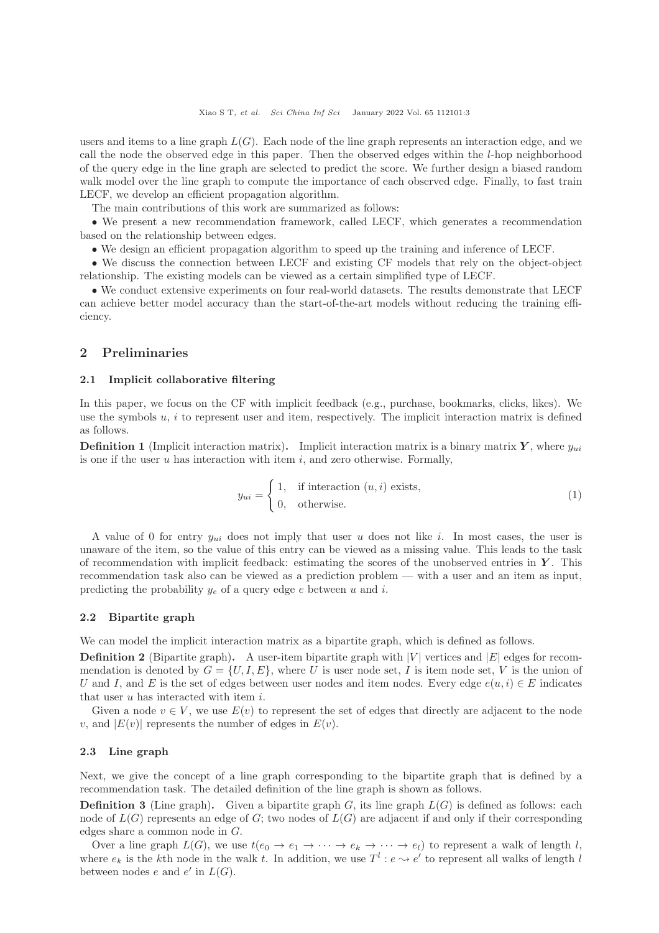users and items to a line graph  $L(G)$ . Each node of the line graph represents an interaction edge, and we call the node the observed edge in this paper. Then the observed edges within the l-hop neighborhood of the query edge in the line graph are selected to predict the score. We further design a biased random walk model over the line graph to compute the importance of each observed edge. Finally, to fast train LECF, we develop an efficient propagation algorithm.

The main contributions of this work are summarized as follows:

• We present a new recommendation framework, called LECF, which generates a recommendation based on the relationship between edges.

• We design an efficient propagation algorithm to speed up the training and inference of LECF.

• We discuss the connection between LECF and existing CF models that rely on the object-object relationship. The existing models can be viewed as a certain simplified type of LECF.

• We conduct extensive experiments on four real-world datasets. The results demonstrate that LECF can achieve better model accuracy than the start-of-the-art models without reducing the training efficiency.

# 2 Preliminaries

# 2.1 Implicit collaborative filtering

In this paper, we focus on the CF with implicit feedback (e.g., purchase, bookmarks, clicks, likes). We use the symbols  $u, i$  to represent user and item, respectively. The implicit interaction matrix is defined as follows.

**Definition 1** (Implicit interaction matrix). Implicit interaction matrix is a binary matrix Y, where  $y_{ui}$ is one if the user  $u$  has interaction with item  $i$ , and zero otherwise. Formally,

$$
y_{ui} = \begin{cases} 1, & \text{if interaction } (u, i) \text{ exists,} \\ 0, & \text{otherwise.} \end{cases}
$$
 (1)

A value of 0 for entry  $y_{ui}$  does not imply that user u does not like i. In most cases, the user is unaware of the item, so the value of this entry can be viewed as a missing value. This leads to the task of recommendation with implicit feedback: estimating the scores of the unobserved entries in  $\boldsymbol{Y}$ . This recommendation task also can be viewed as a prediction problem — with a user and an item as input, predicting the probability  $y_e$  of a query edge e between u and i.

#### 2.2 Bipartite graph

We can model the implicit interaction matrix as a bipartite graph, which is defined as follows.

**Definition 2** (Bipartite graph). A user-item bipartite graph with  $|V|$  vertices and  $|E|$  edges for recommendation is denoted by  $G = \{U, I, E\}$ , where U is user node set, I is item node set, V is the union of U and I, and E is the set of edges between user nodes and item nodes. Every edge  $e(u, i) \in E$  indicates that user  $u$  has interacted with item  $i$ .

Given a node  $v \in V$ , we use  $E(v)$  to represent the set of edges that directly are adjacent to the node v, and  $|E(v)|$  represents the number of edges in  $E(v)$ .

## 2.3 Line graph

Next, we give the concept of a line graph corresponding to the bipartite graph that is defined by a recommendation task. The detailed definition of the line graph is shown as follows.

**Definition 3** (Line graph). Given a bipartite graph  $G$ , its line graph  $L(G)$  is defined as follows: each node of  $L(G)$  represents an edge of G; two nodes of  $L(G)$  are adjacent if and only if their corresponding edges share a common node in G.

Over a line graph  $L(G)$ , we use  $t(e_0 \to e_1 \to \cdots \to e_k \to \cdots \to e_l)$  to represent a walk of length l, where  $e_k$  is the kth node in the walk t. In addition, we use  $T^l: e \leadsto e'$  to represent all walks of length l between nodes  $e$  and  $e'$  in  $L(G)$ .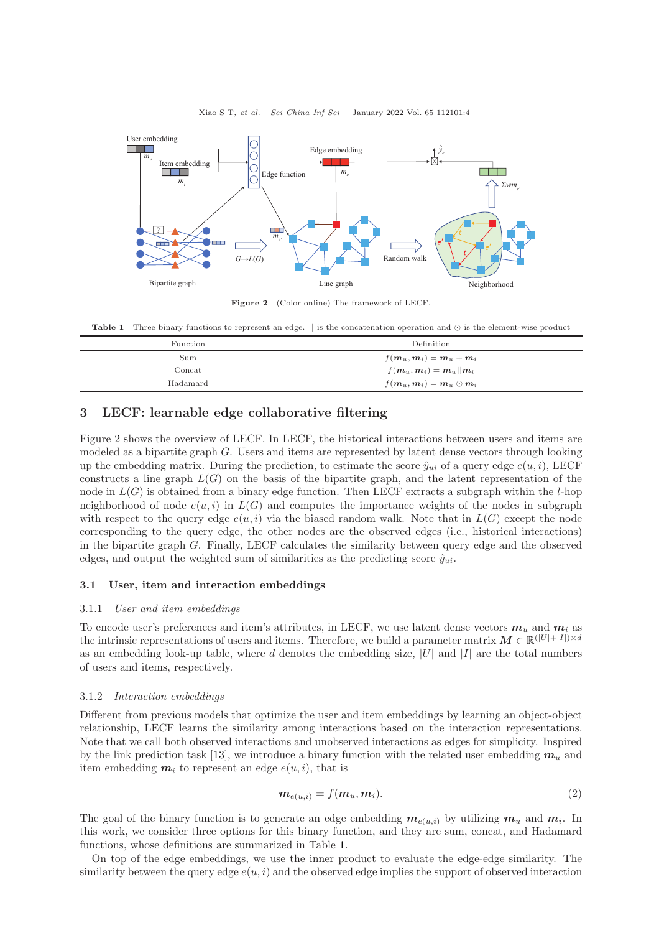<span id="page-3-0"></span>

Xiao S T, et al. Sci China Inf Sci January 2022 Vol. 65 112101:4

Figure 2 (Color online) The framework of LECF.

<span id="page-3-1"></span>Table 1 Three binary functions to represent an edge. If is the concatenation operation and ⊙ is the element-wise product

| Function        | Definition                    |
|-----------------|-------------------------------|
| Sum             | $f(m_u, m_i) = m_u + m_i$     |
| $_{\rm Concat}$ | $f(m_u, m_i) = m_u    m_i$    |
| Hadamard        | $f(m_u, m_i) = m_u \odot m_i$ |

# 3 LECF: learnable edge collaborative filtering

Figure [2](#page-3-0) shows the overview of LECF. In LECF, the historical interactions between users and items are modeled as a bipartite graph G. Users and items are represented by latent dense vectors through looking up the embedding matrix. During the prediction, to estimate the score  $\hat{y}_{ui}$  of a query edge  $e(u, i)$ , LECF constructs a line graph  $L(G)$  on the basis of the bipartite graph, and the latent representation of the node in  $L(G)$  is obtained from a binary edge function. Then LECF extracts a subgraph within the l-hop neighborhood of node  $e(u, i)$  in  $L(G)$  and computes the importance weights of the nodes in subgraph with respect to the query edge  $e(u, i)$  via the biased random walk. Note that in  $L(G)$  except the node corresponding to the query edge, the other nodes are the observed edges (i.e., historical interactions) in the bipartite graph G. Finally, LECF calculates the similarity between query edge and the observed edges, and output the weighted sum of similarities as the predicting score  $\hat{y}_{ui}$ .

# 3.1 User, item and interaction embeddings

#### 3.1.1 User and item embeddings

To encode user's preferences and item's attributes, in LECF, we use latent dense vectors  $m_u$  and  $m_i$  as the intrinsic representations of users and items. Therefore, we build a parameter matrix  $M \in \mathbb{R}^{(|U|+|I|)\times d}$ as an embedding look-up table, where d denotes the embedding size, |U| and |I| are the total numbers of users and items, respectively.

## 3.1.2 Interaction embeddings

Different from previous models that optimize the user and item embeddings by learning an object-object relationship, LECF learns the similarity among interactions based on the interaction representations. Note that we call both observed interactions and unobserved interactions as edges for simplicity. Inspired by the link prediction task [\[13\]](#page-14-11), we introduce a binary function with the related user embedding  $m_u$  and item embedding  $m_i$  to represent an edge  $e(u, i)$ , that is

$$
\mathbf{m}_{e(u,i)} = f(\mathbf{m}_u, \mathbf{m}_i). \tag{2}
$$

The goal of the binary function is to generate an edge embedding  $m_{e(u,i)}$  by utilizing  $m_u$  and  $m_i$ . In this work, we consider three options for this binary function, and they are sum, concat, and Hadamard functions, whose definitions are summarized in Table [1.](#page-3-1)

On top of the edge embeddings, we use the inner product to evaluate the edge-edge similarity. The similarity between the query edge  $e(u, i)$  and the observed edge implies the support of observed interaction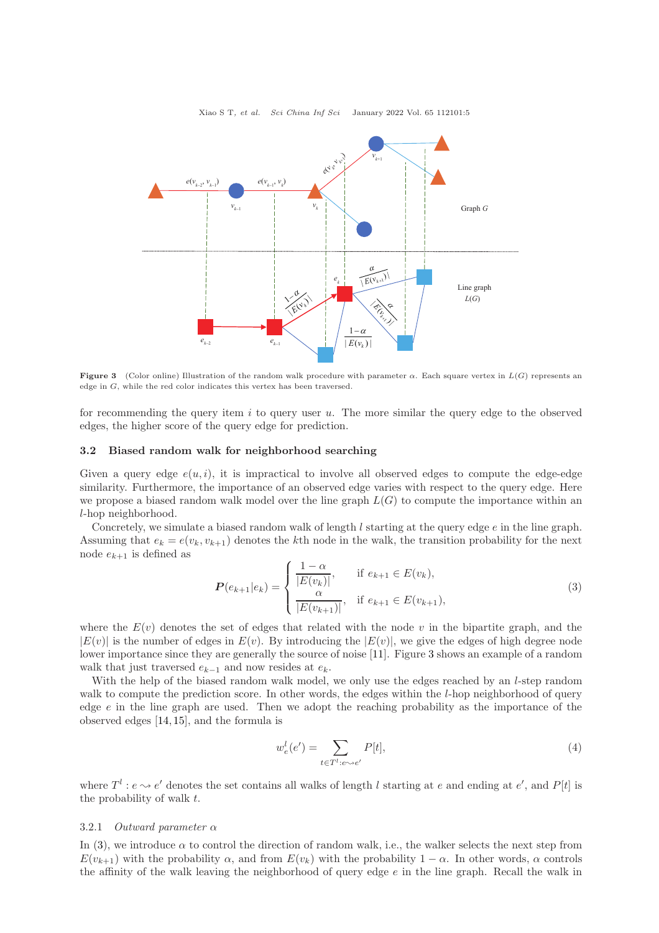<span id="page-4-0"></span>

Figure 3 (Color online) Illustration of the random walk procedure with parameter  $\alpha$ . Each square vertex in  $L(G)$  represents an edge in G, while the red color indicates this vertex has been traversed.

for recommending the query item  $i$  to query user  $u$ . The more similar the query edge to the observed edges, the higher score of the query edge for prediction.

## 3.2 Biased random walk for neighborhood searching

Given a query edge  $e(u, i)$ , it is impractical to involve all observed edges to compute the edge-edge similarity. Furthermore, the importance of an observed edge varies with respect to the query edge. Here we propose a biased random walk model over the line graph  $L(G)$  to compute the importance within an l-hop neighborhood.

Concretely, we simulate a biased random walk of length  $l$  starting at the query edge  $e$  in the line graph. Assuming that  $e_k = e(v_k, v_{k+1})$  denotes the kth node in the walk, the transition probability for the next node  $e_{k+1}$  is defined as

<span id="page-4-1"></span>
$$
\boldsymbol{P}(e_{k+1}|e_k) = \begin{cases} \frac{1-\alpha}{|E(v_k)|}, & \text{if } e_{k+1} \in E(v_k), \\ \frac{\alpha}{|E(v_{k+1})|}, & \text{if } e_{k+1} \in E(v_{k+1}), \end{cases}
$$
(3)

where the  $E(v)$  denotes the set of edges that related with the node v in the bipartite graph, and the  $|E(v)|$  is the number of edges in  $E(v)$ . By introducing the  $|E(v)|$ , we give the edges of high degree node lower importance since they are generally the source of noise [\[11\]](#page-14-9). Figure [3](#page-4-0) shows an example of a random walk that just traversed  $e_{k-1}$  and now resides at  $e_k$ .

With the help of the biased random walk model, we only use the edges reached by an l-step random walk to compute the prediction score. In other words, the edges within the *l*-hop neighborhood of query edge  $e$  in the line graph are used. Then we adopt the reaching probability as the importance of the observed edges [\[14,](#page-14-12) [15\]](#page-14-13), and the formula is

<span id="page-4-2"></span>
$$
w_e^l(e') = \sum_{t \in T^l : e \sim e'} P[t],\tag{4}
$$

where  $T^l: e \rightsquigarrow e'$  denotes the set contains all walks of length l starting at e and ending at  $e'$ , and  $P[t]$  is the probability of walk  $t$ .

#### 3.2.1 Outward parameter  $\alpha$

In [\(3\)](#page-4-1), we introduce  $\alpha$  to control the direction of random walk, i.e., the walker selects the next step from  $E(v_{k+1})$  with the probability  $\alpha$ , and from  $E(v_k)$  with the probability  $1 - \alpha$ . In other words,  $\alpha$  controls the affinity of the walk leaving the neighborhood of query edge e in the line graph. Recall the walk in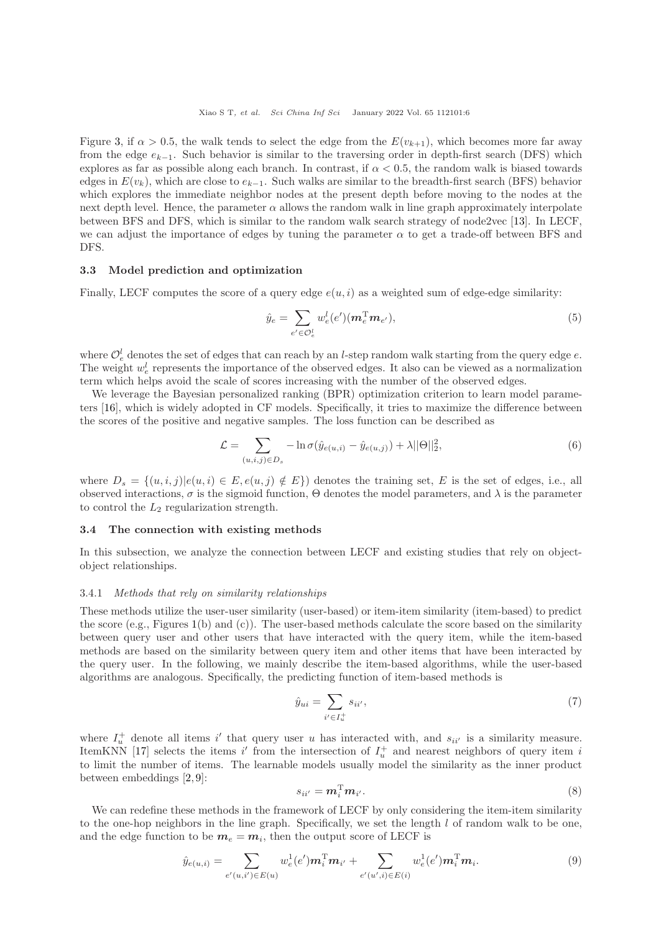Figure [3,](#page-4-0) if  $\alpha > 0.5$ , the walk tends to select the edge from the  $E(v_{k+1})$ , which becomes more far away from the edge  $e_{k-1}$ . Such behavior is similar to the traversing order in depth-first search (DFS) which explores as far as possible along each branch. In contrast, if  $\alpha < 0.5$ , the random walk is biased towards edges in  $E(v_k)$ , which are close to  $e_{k-1}$ . Such walks are similar to the breadth-first search (BFS) behavior which explores the immediate neighbor nodes at the present depth before moving to the nodes at the next depth level. Hence, the parameter  $\alpha$  allows the random walk in line graph approximately interpolate between BFS and DFS, which is similar to the random walk search strategy of node2vec [\[13\]](#page-14-11). In LECF, we can adjust the importance of edges by tuning the parameter  $\alpha$  to get a trade-off between BFS and DFS.

#### 3.3 Model prediction and optimization

Finally, LECF computes the score of a query edge  $e(u, i)$  as a weighted sum of edge-edge similarity:

<span id="page-5-1"></span>
$$
\hat{y}_e = \sum_{e' \in \mathcal{O}_e^l} w_e^l(e') (\mathbf{m}_e^{\mathrm{T}} \mathbf{m}_{e'}),\tag{5}
$$

where  $\mathcal{O}_e^l$  denotes the set of edges that can reach by an *l*-step random walk starting from the query edge  $e$ . The weight  $w_e^l$  represents the importance of the observed edges. It also can be viewed as a normalization term which helps avoid the scale of scores increasing with the number of the observed edges.

We leverage the Bayesian personalized ranking (BPR) optimization criterion to learn model parameters [\[16\]](#page-14-14), which is widely adopted in CF models. Specifically, it tries to maximize the difference between the scores of the positive and negative samples. The loss function can be described as

$$
\mathcal{L} = \sum_{(u,i,j)\in D_s} -\ln \sigma(\hat{y}_{e(u,i)} - \hat{y}_{e(u,j)}) + \lambda ||\Theta||_2^2, \tag{6}
$$

where  $D_s = \{(u, i, j)|e(u, i) \in E, e(u, j) \notin E\}$  denotes the training set, E is the set of edges, i.e., all observed interactions,  $\sigma$  is the sigmoid function,  $\Theta$  denotes the model parameters, and  $\lambda$  is the parameter to control the  $L_2$  regularization strength.

# <span id="page-5-0"></span>3.4 The connection with existing methods

In this subsection, we analyze the connection between LECF and existing studies that rely on objectobject relationships.

#### 3.4.1 Methods that rely on similarity relationships

These methods utilize the user-user similarity (user-based) or item-item similarity (item-based) to predict the score (e.g., Figures [1\(](#page-1-0)b) and (c)). The user-based methods calculate the score based on the similarity between query user and other users that have interacted with the query item, while the item-based methods are based on the similarity between query item and other items that have been interacted by the query user. In the following, we mainly describe the item-based algorithms, while the user-based algorithms are analogous. Specifically, the predicting function of item-based methods is

$$
\hat{y}_{ui} = \sum_{i' \in I_u^+} s_{ii'},\tag{7}
$$

where  $I_u^+$  denote all items i' that query user u has interacted with, and  $s_{ii'}$  is a similarity measure. ItemKNN [\[17\]](#page-14-15) selects the items i' from the intersection of  $I_u^+$  and nearest neighbors of query item i to limit the number of items. The learnable models usually model the similarity as the inner product between embeddings [\[2,](#page-14-7) [9\]](#page-14-6):

$$
s_{ii'} = \mathbf{m}_i^{\mathrm{T}} \mathbf{m}_{i'}.
$$

We can redefine these methods in the framework of LECF by only considering the item-item similarity to the one-hop neighbors in the line graph. Specifically, we set the length  $l$  of random walk to be one, and the edge function to be  $m_e = m_i$ , then the output score of LECF is

$$
\hat{y}_{e(u,i)} = \sum_{e'(u,i') \in E(u)} w_e^1(e') \mathbf{m}_i^{\mathrm{T}} \mathbf{m}_{i'} + \sum_{e'(u',i) \in E(i)} w_e^1(e') \mathbf{m}_i^{\mathrm{T}} \mathbf{m}_i. \tag{9}
$$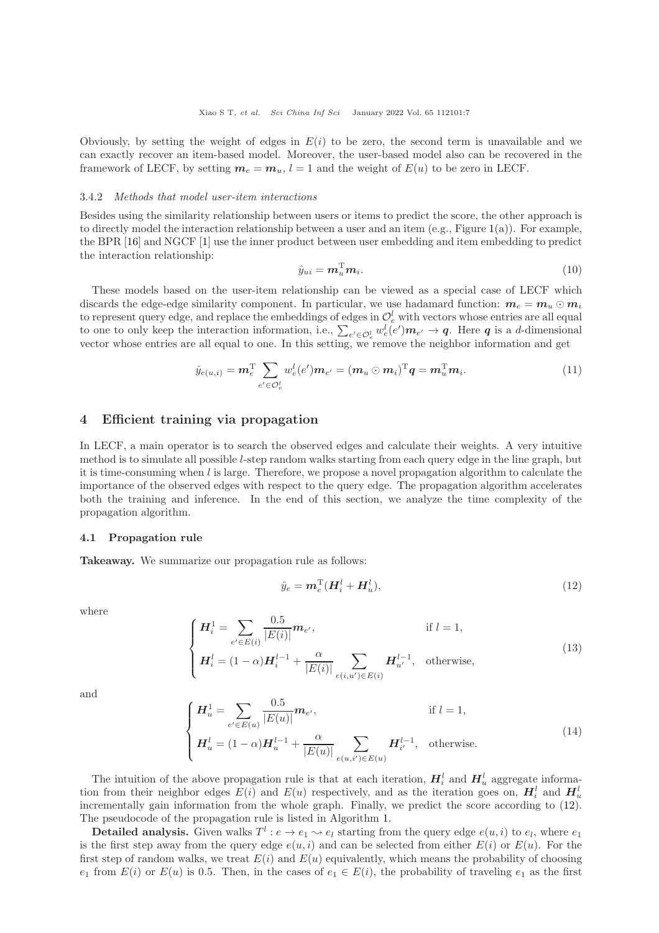Obviously, by setting the weight of edges in  $E(i)$  to be zero, the second term is unavailable and we can exactly recover an item-based model. Moreover, the user-based model also can be recovered in the framework of LECF, by setting  $m_e = m_u$ ,  $l = 1$  and the weight of  $E(u)$  to be zero in LECF.

#### 3.4.2 Methods that model user-item interactions

Besides using the similarity relationship between users or items to predict the score, the other approach is to directly model the interaction relationship between a user and an item  $(e.g., Figure 1(a))$  $(e.g., Figure 1(a))$  $(e.g., Figure 1(a))$ . For example, the BPR [\[16\]](#page-14-14) and NGCF [\[1\]](#page-13-0) use the inner product between user embedding and item embedding to predict the interaction relationship:

$$
\hat{y}_{ui} = \mathbf{m}_u^{\mathrm{T}} \mathbf{m}_i. \tag{10}
$$

These models based on the user-item relationship can be viewed as a special case of LECF which discards the edge-edge similarity component. In particular, we use hadamard function:  $m_e = m_u \odot m_i$ to represent query edge, and replace the embeddings of edges in  $\mathcal{O}_e^l$  with vectors whose entries are all equal to one to only keep the interaction information, i.e.,  $\sum_{e' \in \mathcal{O}_e^l} w_e^l(e')\mathbf{m}_{e'} \to \mathbf{q}$ . Here  $\mathbf{q}$  is a d-dimensional vector whose entries are all equal to one. In this setting, we remove the neighbor information and get

$$
\hat{y}_{e(u,i)} = \boldsymbol{m}_e^{\mathrm{T}} \sum_{e' \in \mathcal{O}_e^l} w_e^l(e') \boldsymbol{m}_{e'} = (\boldsymbol{m}_u \odot \boldsymbol{m}_i)^{\mathrm{T}} \boldsymbol{q} = \boldsymbol{m}_u^{\mathrm{T}} \boldsymbol{m}_i.
$$
\n(11)

# 4 Efficient training via propagation

In LECF, a main operator is to search the observed edges and calculate their weights. A very intuitive method is to simulate all possible l-step random walks starting from each query edge in the line graph, but it is time-consuming when  $l$  is large. Therefore, we propose a novel propagation algorithm to calculate the importance of the observed edges with respect to the query edge. The propagation algorithm accelerates both the training and inference. In the end of this section, we analyze the time complexity of the propagation algorithm.

#### 4.1 Propagation rule

Takeaway. We summarize our propagation rule as follows:

<span id="page-6-0"></span>
$$
\hat{y}_e = \mathbf{m}_e^{\mathrm{T}} (\mathbf{H}_i^l + \mathbf{H}_u^l),\tag{12}
$$

where

$$
\begin{cases}\n\mathbf{H}_{i}^{1} = \sum_{e' \in E(i)} \frac{0.5}{|E(i)|} \mathbf{m}_{e'}, & \text{if } l = 1, \\
\mathbf{H}_{i}^{l} = (1 - \alpha) \mathbf{H}_{i}^{l-1} + \frac{\alpha}{|E(i)|} \sum_{e(i, u') \in E(i)} \mathbf{H}_{u'}^{l-1}, & \text{otherwise,} \n\end{cases}
$$
\n(13)

and

$$
\begin{cases}\n\mathbf{H}_{u}^{1} = \sum_{e' \in E(u)} \frac{0.5}{|E(u)|} \mathbf{m}_{e'}, & \text{if } l = 1, \\
\mathbf{H}_{u}^{l} = (1 - \alpha) \mathbf{H}_{u}^{l-1} + \frac{\alpha}{|E(u)|} \sum_{e(u,i') \in E(u)} \mathbf{H}_{i'}^{l-1}, & \text{otherwise.} \n\end{cases}
$$
\n(14)

The intuition of the above propagation rule is that at each iteration,  $H_i^l$  and  $H_u^l$  aggregate information from their neighbor edges  $E(i)$  and  $E(u)$  respectively, and as the iteration goes on,  $H_i^l$  and  $H_u^l$ incrementally gain information from the whole graph. Finally, we predict the score according to [\(12\)](#page-6-0). The pseudocode of the propagation rule is listed in Algorithm [1.](#page-7-0)

**Detailed analysis.** Given walks  $T^l: e \to e_1 \leadsto e_l$  starting from the query edge  $e(u, i)$  to  $e_l$ , where  $e_1$ is the first step away from the query edge  $e(u, i)$  and can be selected from either  $E(i)$  or  $E(u)$ . For the first step of random walks, we treat  $E(i)$  and  $E(u)$  equivalently, which means the probability of choosing  $e_1$  from  $E(i)$  or  $E(u)$  is 0.5. Then, in the cases of  $e_1 \in E(i)$ , the probability of traveling  $e_1$  as the first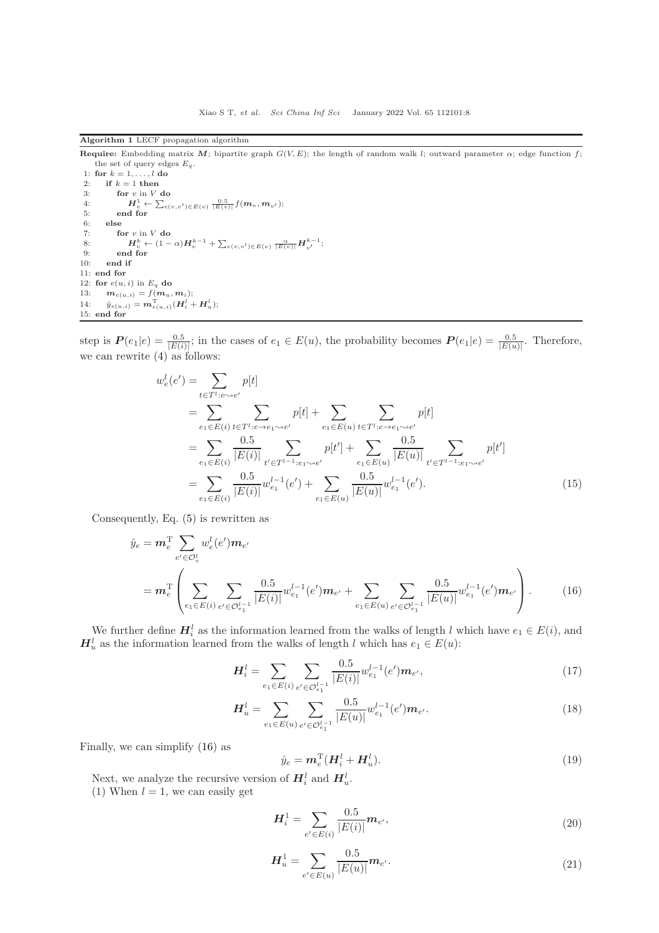<span id="page-7-0"></span>Algorithm 1 LECF propagation algorithm

**Require:** Embedding matrix M; bipartite graph  $G(V, E)$ ; the length of random walk l; outward parameter  $\alpha$ ; edge function f; the set of query edges  $E_q$ .

1: for  $k = 1, ..., l$  do 2: if  $k = 1$  then<br>3: for v in V for  $v$  in  $V$  do 4:  $\bm{H}_v^1 \leftarrow \sum_{e(v,v') \in E(v)} \frac{0.5}{|E(v)|} f(\bm{m}_v, \bm{m}_{v'});$ 5: end for else 7: for v in V do<br>8:  $H^k \leftarrow (1 -$ 8:  $\qquad \qquad \mathbf{H}_{v}^{k} \leftarrow (1-\alpha)\mathbf{H}_{v}^{k-1} + \sum_{e(v,v') \in E(v)} \frac{\alpha}{|E(v)|} \mathbf{H}_{v'}^{k-1};$ 9: end for 10: end if 11: end for 12: for  $e(u, i)$  in  $E_q$  do 13:  $m_{e(u,i)} = f(m_u, m_i);$ 14:  $\hat{y}_{e(u,i)} = \boldsymbol{m}_{e(u,i)}^{\text{T}} (\boldsymbol{H}_{i}^{l} + \boldsymbol{H}_{u}^{l});$ 15: end for

step is  $P(e_1|e) = \frac{0.5}{|E(i)|}$ ; in the cases of  $e_1 \in E(u)$ , the probability becomes  $P(e_1|e) = \frac{0.5}{|E(u)|}$ . Therefore, we can rewrite [\(4\)](#page-4-2) as follows:

$$
w_e^l(e') = \sum_{t \in T^l : e \sim e'} p[t]
$$
  
\n
$$
= \sum_{e_1 \in E(i)} \sum_{t \in T^l : e \to e_1 \sim e'} p[t] + \sum_{e_1 \in E(u)} \sum_{t \in T^l : e \to e_1 \sim e'} p[t]
$$
  
\n
$$
= \sum_{e_1 \in E(i)} \frac{0.5}{|E(i)|} \sum_{t' \in T^{l-1} : e_1 \sim e'} p[t'] + \sum_{e_1 \in E(u)} \frac{0.5}{|E(u)|} \sum_{t' \in T^{l-1} : e_1 \sim e'} p[t']
$$
  
\n
$$
= \sum_{e_1 \in E(i)} \frac{0.5}{|E(i)|} w_{e_1}^{l-1}(e') + \sum_{e_1 \in E(u)} \frac{0.5}{|E(u)|} w_{e_1}^{l-1}(e'). \tag{15}
$$

Consequently, Eq. [\(5\)](#page-5-1) is rewritten as

$$
\hat{y}_e = \mathbf{m}_e^{\mathrm{T}} \sum_{e' \in \mathcal{O}_e^l} w_e^l(e') \mathbf{m}_{e'}
$$
\n
$$
= \mathbf{m}_e^{\mathrm{T}} \left( \sum_{e_1 \in E(i)} \sum_{e' \in \mathcal{O}_{e_1}^{l-1}} \frac{0.5}{|E(i)|} w_{e_1}^{l-1}(e') \mathbf{m}_{e'} + \sum_{e_1 \in E(u)} \sum_{e' \in \mathcal{O}_{e_1}^{l-1}} \frac{0.5}{|E(u)|} w_{e_1}^{l-1}(e') \mathbf{m}_{e'} \right). \tag{16}
$$

We further define  $H_i^l$  as the information learned from the walks of length l which have  $e_1 \in E(i)$ , and  $H_u^l$  as the information learned from the walks of length l which has  $e_1 \in E(u)$ :

$$
\boldsymbol{H}_{i}^{l} = \sum_{e_{1} \in E(i)} \sum_{e' \in \mathcal{O}_{e_{1}}^{l-1}} \frac{0.5}{|E(i)|} w_{e_{1}}^{l-1}(e') \boldsymbol{m}_{e'}, \qquad (17)
$$

$$
\boldsymbol{H}_{u}^{l} = \sum_{e_1 \in E(u)} \sum_{e' \in \mathcal{O}_{e_1}^{l-1}} \frac{0.5}{|E(u)|} w_{e_1}^{l-1}(e') \boldsymbol{m}_{e'}.
$$
\n(18)

Finally, we can simplify [\(16\)](#page-7-1) as

<span id="page-7-3"></span><span id="page-7-1"></span>
$$
\hat{y}_e = \mathbf{m}_e^{\mathrm{T}} (\mathbf{H}_i^l + \mathbf{H}_u^l). \tag{19}
$$

Next, we analyze the recursive version of  $H_i^l$  and  $H_u^l$ .

<span id="page-7-2"></span>(1) When  $l = 1$ , we can easily get

$$
\boldsymbol{H}_{i}^{1} = \sum_{e' \in E(i)} \frac{0.5}{|E(i)|} \boldsymbol{m}_{e'},
$$
\n(20)

$$
\boldsymbol{H}_{u}^{1} = \sum_{e' \in E(u)} \frac{0.5}{|E(u)|} \boldsymbol{m}_{e'}.
$$
\n(21)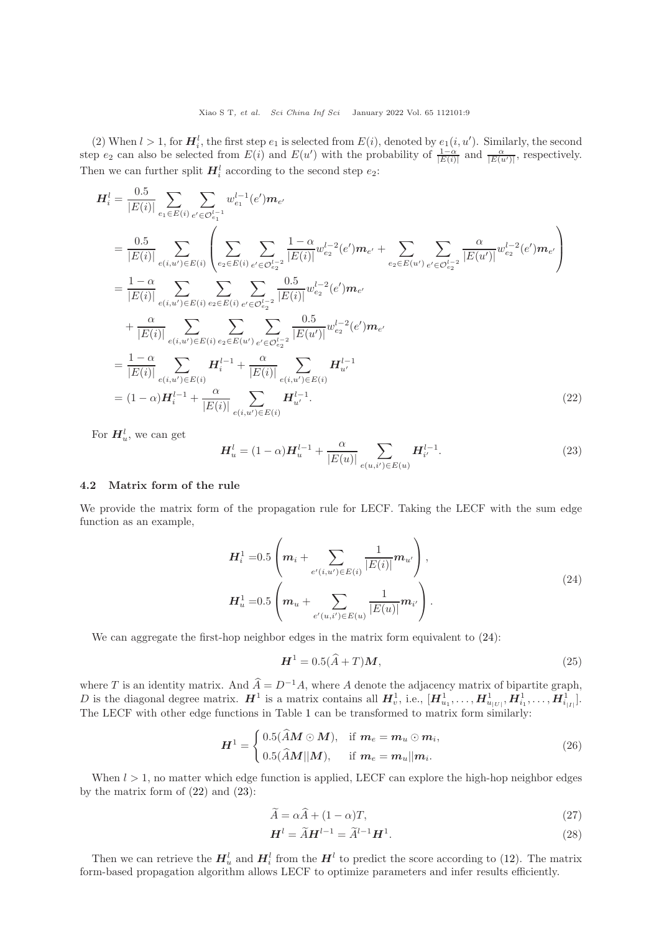(2) When  $l > 1$ , for  $H_i^l$ , the first step  $e_1$  is selected from  $E(i)$ , denoted by  $e_1(i, u')$ . Similarly, the second step  $e_2$  can also be selected from  $E(i)$  and  $E(u')$  with the probability of  $\frac{1-\alpha}{|E(i)|}$  and  $\frac{\alpha}{|E(u')|}$ , respectively. Then we can further split  $H_i^l$  according to the second step  $e_2$ :

$$
H_{i}^{l} = \frac{0.5}{|E(i)|} \sum_{e_{1} \in E(i)} \sum_{e' \in \mathcal{O}_{e_{1}}^{l-1}} w_{e_{1}}^{l-1}(e') m_{e'}
$$
\n
$$
= \frac{0.5}{|E(i)|} \sum_{e(i, u') \in E(i)} \left( \sum_{e_{2} \in E(i)} \sum_{e' \in \mathcal{O}_{e_{2}}^{l-2}} \frac{1 - \alpha}{|E(i)|} w_{e_{2}}^{l-2}(e') m_{e'} + \sum_{e_{2} \in E(u')} \sum_{e' \in \mathcal{O}_{e_{2}}^{l-2}} \frac{\alpha}{|E(u')|} w_{e_{2}}^{l-2}(e') m_{e'}
$$
\n
$$
= \frac{1 - \alpha}{|E(i)|} \sum_{e(i, u') \in E(i)} \sum_{e_{2} \in E(i)} \sum_{e' \in \mathcal{O}_{e_{2}}^{l-2}} \frac{0.5}{|E(i)|} w_{e_{2}}^{l-2}(e') m_{e'}
$$
\n
$$
+ \frac{\alpha}{|E(i)|} \sum_{e(i, u') \in E(i)} \sum_{e_{2} \in E(u')} \sum_{e' \in \mathcal{O}_{e_{2}}^{l-2}} \frac{0.5}{|E(u')|} w_{e_{2}}^{l-2}(e') m_{e'}
$$
\n
$$
= \frac{1 - \alpha}{|E(i)|} \sum_{e(i, u') \in E(i)} H_{i}^{l-1} + \frac{\alpha}{|E(i)|} \sum_{e(i, u') \in E(i)} H_{u'}^{l-1}
$$
\n
$$
= (1 - \alpha) H_{i}^{l-1} + \frac{\alpha}{|E(i)|} \sum_{e(i, u') \in E(i)} H_{u'}^{l-1}.
$$
\n(22)

For  $H_u^l$ , we can get

<span id="page-8-2"></span><span id="page-8-1"></span>
$$
\boldsymbol{H}_{u}^{l} = (1 - \alpha)\boldsymbol{H}_{u}^{l-1} + \frac{\alpha}{|E(u)|} \sum_{e(u,i') \in E(u)} \boldsymbol{H}_{i'}^{l-1}.
$$
 (23)

#### 4.2 Matrix form of the rule

We provide the matrix form of the propagation rule for LECF. Taking the LECF with the sum edge function as an example,

$$
\begin{aligned}\n\boldsymbol{H}_{i}^{1} = & 0.5 \left( \boldsymbol{m}_{i} + \sum_{e'(i, u') \in E(i)} \frac{1}{|E(i)|} \boldsymbol{m}_{u'} \right), \\
\boldsymbol{H}_{u}^{1} = & 0.5 \left( \boldsymbol{m}_{u} + \sum_{e'(u, i') \in E(u)} \frac{1}{|E(u)|} \boldsymbol{m}_{i'} \right).\n\end{aligned} \tag{24}
$$

<span id="page-8-0"></span>We can aggregate the first-hop neighbor edges in the matrix form equivalent to  $(24)$ :

$$
\boldsymbol{H}^1 = 0.5(\widehat{A} + T)\boldsymbol{M},\tag{25}
$$

where T is an identity matrix. And  $\hat{A} = D^{-1}A$ , where A denote the adjacency matrix of bipartite graph, D is the diagonal degree matrix.  $H^1$  is a matrix contains all  $H^1_v$ , i.e.,  $[H^1_{u_1}, \ldots, H^1_{u_{|U|}}, H^1_{i_1}, \ldots, H^1_{i_{|I|}}].$ The LECF with other edge functions in Table [1](#page-3-1) can be transformed to matrix form similarly:

$$
\boldsymbol{H}^{1} = \begin{cases} 0.5(\widehat{A}\boldsymbol{M} \odot \boldsymbol{M}), & \text{if } \boldsymbol{m}_{e} = \boldsymbol{m}_{u} \odot \boldsymbol{m}_{i}, \\ 0.5(\widehat{A}\boldsymbol{M}||\boldsymbol{M}), & \text{if } \boldsymbol{m}_{e} = \boldsymbol{m}_{u}||\boldsymbol{m}_{i}. \end{cases}
$$
(26)

When  $l > 1$ , no matter which edge function is applied, LECF can explore the high-hop neighbor edges by the matrix form of  $(22)$  and  $(23)$ :

$$
\widetilde{A} = \alpha \widehat{A} + (1 - \alpha)T,\tag{27}
$$

$$
\boldsymbol{H}^{l} = \widetilde{A}\boldsymbol{H}^{l-1} = \widetilde{A}^{l-1}\boldsymbol{H}^{1}.
$$
\n(28)

Then we can retrieve the  $H_u^l$  and  $H_i^l$  from the  $H^l$  to predict the score according to [\(12\)](#page-6-0). The matrix form-based propagation algorithm allows LECF to optimize parameters and infer results efficiently.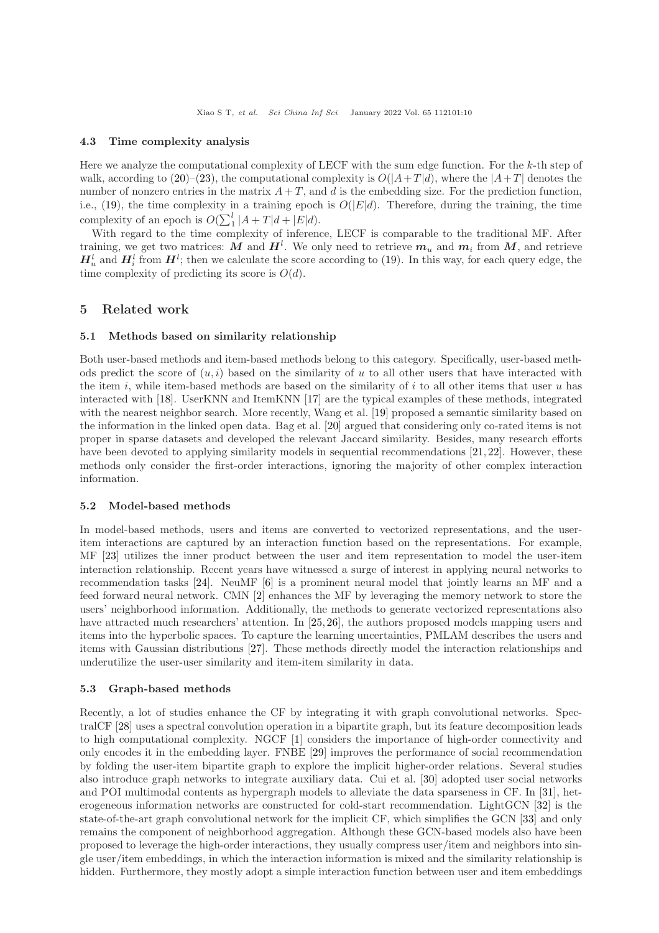Xiao S T, et al. Sci China Inf Sci January 2022 Vol. 65 112101:10

#### 4.3 Time complexity analysis

Here we analyze the computational complexity of LECF with the sum edge function. For the k-th step of walk, according to [\(20\)](#page-7-2)–[\(23\)](#page-8-2), the computational complexity is  $O(|A+T|d)$ , where the  $|A+T|$  denotes the number of nonzero entries in the matrix  $A + T$ , and d is the embedding size. For the prediction function, i.e., [\(19\)](#page-7-3), the time complexity in a training epoch is  $O(|E|d)$ . Therefore, during the training, the time complexity of an epoch is  $O(\sum_1^l |A + T|d + |E|d)$ .

With regard to the time complexity of inference, LECF is comparable to the traditional MF. After training, we get two matrices: M and  $H^l$ . We only need to retrieve  $m_u$  and  $m_i$  from M, and retrieve  $H_u^l$  and  $H_i^l$  from  $H^l$ ; then we calculate the score according to [\(19\)](#page-7-3). In this way, for each query edge, the time complexity of predicting its score is  $O(d)$ .

# 5 Related work

# 5.1 Methods based on similarity relationship

Both user-based methods and item-based methods belong to this category. Specifically, user-based methods predict the score of  $(u, i)$  based on the similarity of u to all other users that have interacted with the item i, while item-based methods are based on the similarity of i to all other items that user u has interacted with [\[18\]](#page-14-16). UserKNN and ItemKNN [\[17\]](#page-14-15) are the typical examples of these methods, integrated with the nearest neighbor search. More recently, Wang et al. [\[19\]](#page-14-17) proposed a semantic similarity based on the information in the linked open data. Bag et al. [\[20\]](#page-14-18) argued that considering only co-rated items is not proper in sparse datasets and developed the relevant Jaccard similarity. Besides, many research efforts have been devoted to applying similarity models in sequential recommendations [\[21,](#page-14-19) [22\]](#page-14-20). However, these methods only consider the first-order interactions, ignoring the majority of other complex interaction information.

#### 5.2 Model-based methods

In model-based methods, users and items are converted to vectorized representations, and the useritem interactions are captured by an interaction function based on the representations. For example, MF [\[23\]](#page-14-21) utilizes the inner product between the user and item representation to model the user-item interaction relationship. Recent years have witnessed a surge of interest in applying neural networks to recommendation tasks [\[24\]](#page-14-22). NeuMF [\[6\]](#page-14-3) is a prominent neural model that jointly learns an MF and a feed forward neural network. CMN [\[2\]](#page-14-7) enhances the MF by leveraging the memory network to store the users' neighborhood information. Additionally, the methods to generate vectorized representations also have attracted much researchers' attention. In [\[25,](#page-14-23) [26\]](#page-14-24), the authors proposed models mapping users and items into the hyperbolic spaces. To capture the learning uncertainties, PMLAM describes the users and items with Gaussian distributions [\[27\]](#page-14-25). These methods directly model the interaction relationships and underutilize the user-user similarity and item-item similarity in data.

# 5.3 Graph-based methods

Recently, a lot of studies enhance the CF by integrating it with graph convolutional networks. SpectralCF [\[28\]](#page-14-26) uses a spectral convolution operation in a bipartite graph, but its feature decomposition leads to high computational complexity. NGCF [\[1\]](#page-13-0) considers the importance of high-order connectivity and only encodes it in the embedding layer. FNBE [\[29\]](#page-14-27) improves the performance of social recommendation by folding the user-item bipartite graph to explore the implicit higher-order relations. Several studies also introduce graph networks to integrate auxiliary data. Cui et al. [\[30\]](#page-14-28) adopted user social networks and POI multimodal contents as hypergraph models to alleviate the data sparseness in CF. In [\[31\]](#page-14-29), heterogeneous information networks are constructed for cold-start recommendation. LightGCN [\[32\]](#page-14-30) is the state-of-the-art graph convolutional network for the implicit CF, which simplifies the GCN [\[33\]](#page-14-31) and only remains the component of neighborhood aggregation. Although these GCN-based models also have been proposed to leverage the high-order interactions, they usually compress user/item and neighbors into single user/item embeddings, in which the interaction information is mixed and the similarity relationship is hidden. Furthermore, they mostly adopt a simple interaction function between user and item embeddings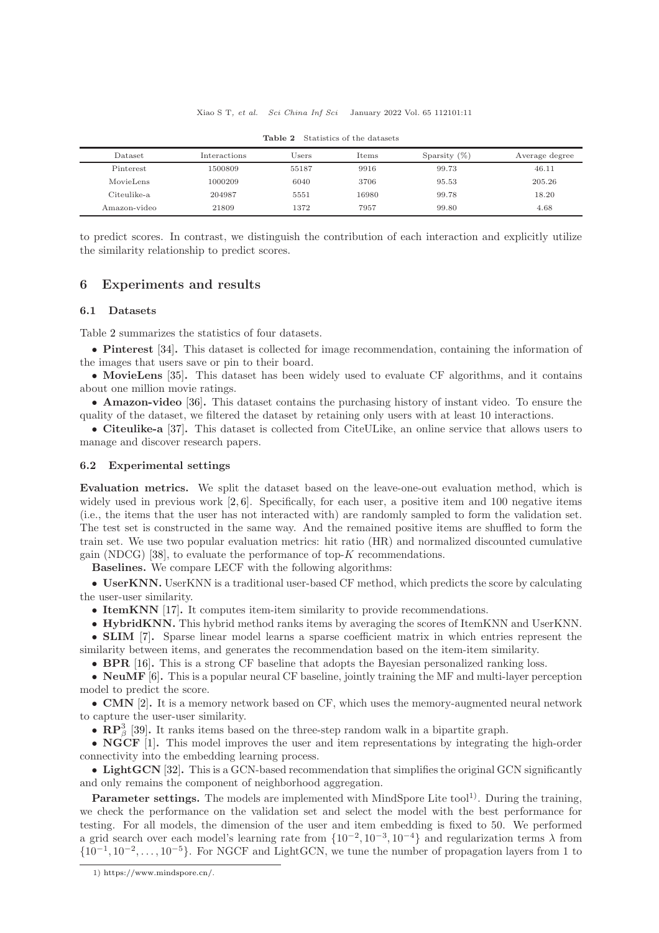<span id="page-10-0"></span>

| Dataset      | Interactions | $_{\rm Users}$ | Items | Sparsity $(\%)$ | Average degree |
|--------------|--------------|----------------|-------|-----------------|----------------|
| Pinterest    | 1500809      | 55187          | 9916  | 99.73           | 46.11          |
| MovieLens    | 1000209      | 6040           | 3706  | 95.53           | 205.26         |
| Citeulike-a  | 204987       | 5551           | 16980 | 99.78           | 18.20          |
| Amazon-video | 21809        | 1372           | 7957  | 99.80           | 4.68           |

Table 2 Statistics of the datasets

to predict scores. In contrast, we distinguish the contribution of each interaction and explicitly utilize the similarity relationship to predict scores.

# 6 Experiments and results

## 6.1 Datasets

Table [2](#page-10-0) summarizes the statistics of four datasets.

• Pinterest [\[34\]](#page-14-32). This dataset is collected for image recommendation, containing the information of the images that users save or pin to their board.

• MovieLens [\[35\]](#page-14-33). This dataset has been widely used to evaluate CF algorithms, and it contains about one million movie ratings.

• Amazon-video [\[36\]](#page-14-34). This dataset contains the purchasing history of instant video. To ensure the quality of the dataset, we filtered the dataset by retaining only users with at least 10 interactions.

• Citeulike-a [\[37\]](#page-14-35). This dataset is collected from CiteULike, an online service that allows users to manage and discover research papers.

## 6.2 Experimental settings

Evaluation metrics. We split the dataset based on the leave-one-out evaluation method, which is widely used in previous work [\[2,](#page-14-7) [6\]](#page-14-3). Specifically, for each user, a positive item and 100 negative items (i.e., the items that the user has not interacted with) are randomly sampled to form the validation set. The test set is constructed in the same way. And the remained positive items are shuffled to form the train set. We use two popular evaluation metrics: hit ratio (HR) and normalized discounted cumulative gain (NDCG) [\[38\]](#page-14-36), to evaluate the performance of top- $K$  recommendations.

Baselines. We compare LECF with the following algorithms:

• UserKNN. UserKNN is a traditional user-based CF method, which predicts the score by calculating the user-user similarity.

• ItemKNN [\[17\]](#page-14-15). It computes item-item similarity to provide recommendations.

• HybridKNN. This hybrid method ranks items by averaging the scores of ItemKNN and UserKNN.

• SLIM [\[7\]](#page-14-4). Sparse linear model learns a sparse coefficient matrix in which entries represent the similarity between items, and generates the recommendation based on the item-item similarity.

• BPR [\[16\]](#page-14-14). This is a strong CF baseline that adopts the Bayesian personalized ranking loss.

• **NeuMF** [\[6\]](#page-14-3). This is a popular neural CF baseline, jointly training the MF and multi-layer perception model to predict the score.

• CMN [\[2\]](#page-14-7). It is a memory network based on CF, which uses the memory-augmented neural network to capture the user-user similarity.

•  $\mathbb{RP}^3_{\beta}$  [\[39\]](#page-14-37). It ranks items based on the three-step random walk in a bipartite graph.

• **NGCF** [\[1\]](#page-13-0). This model improves the user and item representations by integrating the high-order connectivity into the embedding learning process.

• LightGCN [\[32\]](#page-14-30). This is a GCN-based recommendation that simplifies the original GCN significantly and only remains the component of neighborhood aggregation.

**Parameter settings.** The models are implemented with MindSpore Lite tool<sup>1</sup>). During the training, we check the performance on the validation set and select the model with the best performance for testing. For all models, the dimension of the user and item embedding is fixed to 50. We performed a grid search over each model's learning rate from  $\{10^{-2}, 10^{-3}, 10^{-4}\}$  and regularization terms  $\lambda$  from  $\{10^{-1}, 10^{-2}, \ldots, 10^{-5}\}$ . For NGCF and LightGCN, we tune the number of propagation layers from 1 to

<sup>1)</sup> [https://www.mindspore.cn/.](https://www.mindspore.cn/)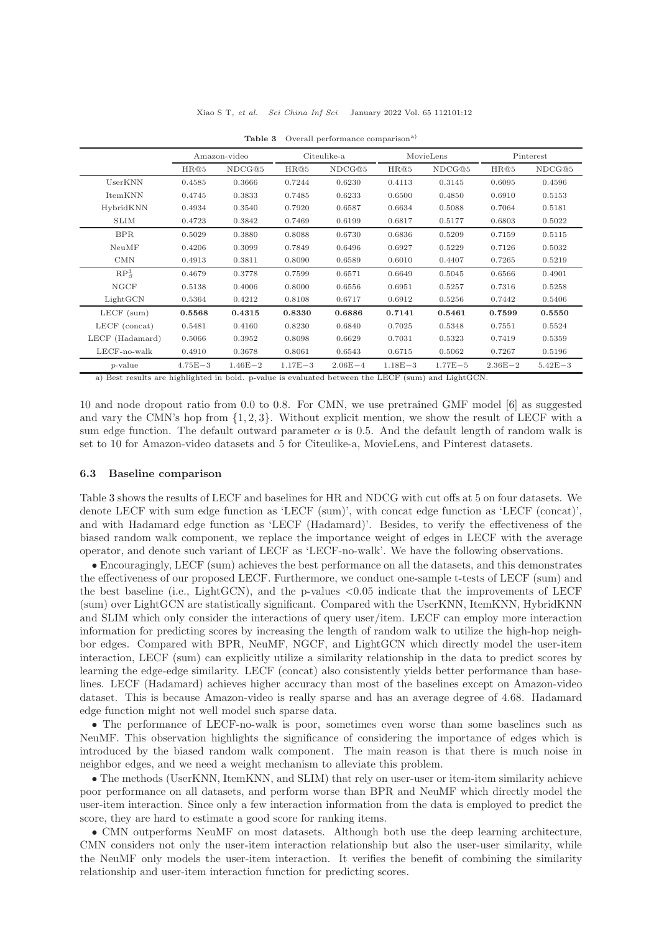<span id="page-11-0"></span>

|                 | Amazon-video |             | Citeulike-a |             | MovieLens   |             | Pinterest   |             |
|-----------------|--------------|-------------|-------------|-------------|-------------|-------------|-------------|-------------|
|                 | HR@5         | NDCG@5      | HR@5        | NDCG@5      | HR@5        | NDCG@5      | HR@5        | NDCG@5      |
| UserKNN         | 0.4585       | 0.3666      | 0.7244      | 0.6230      | 0.4113      | 0.3145      | 0.6095      | 0.4596      |
| ItemKNN         | 0.4745       | 0.3833      | 0.7485      | 0.6233      | 0.6500      | 0.4850      | 0.6910      | 0.5153      |
| HybridKNN       | 0.4934       | 0.3540      | 0.7920      | 0.6587      | 0.6634      | 0.5088      | 0.7064      | 0.5181      |
| <b>SLIM</b>     | 0.4723       | 0.3842      | 0.7469      | 0.6199      | 0.6817      | 0.5177      | 0.6803      | 0.5022      |
| <b>BPR</b>      | 0.5029       | 0.3880      | 0.8088      | 0.6730      | 0.6836      | 0.5209      | 0.7159      | 0.5115      |
| NeuMF           | 0.4206       | 0.3099      | 0.7849      | 0.6496      | 0.6927      | 0.5229      | 0.7126      | 0.5032      |
| <b>CMN</b>      | 0.4913       | 0.3811      | 0.8090      | 0.6589      | 0.6010      | 0.4407      | 0.7265      | 0.5219      |
| $RP^3_{\beta}$  | 0.4679       | 0.3778      | 0.7599      | 0.6571      | 0.6649      | 0.5045      | 0.6566      | 0.4901      |
| NGCF            | 0.5138       | 0.4006      | 0.8000      | 0.6556      | 0.6951      | 0.5257      | 0.7316      | 0.5258      |
| LightGCN        | 0.5364       | 0.4212      | 0.8108      | 0.6717      | 0.6912      | 0.5256      | 0.7442      | 0.5406      |
| $LECF$ (sum)    | 0.5568       | 0.4315      | 0.8330      | 0.6886      | 0.7141      | 0.5461      | 0.7599      | 0.5550      |
| LECF (concat)   | 0.5481       | 0.4160      | 0.8230      | 0.6840      | 0.7025      | 0.5348      | 0.7551      | 0.5524      |
| LECF (Hadamard) | 0.5066       | 0.3952      | 0.8098      | 0.6629      | 0.7031      | 0.5323      | 0.7419      | 0.5359      |
| $LECF$ -no-walk | 0.4910       | 0.3678      | 0.8061      | 0.6543      | 0.6715      | 0.5062      | 0.7267      | 0.5196      |
| $p$ -value      | $4.75E - 3$  | $1.46E - 2$ | $1.17E - 3$ | $2.06E - 4$ | $1.18E - 3$ | $1.77E - 5$ | $2.36E - 2$ | $5.42E - 3$ |

Table 3 Overall performance comparison<sup>a)</sup>

a) Best results are highlighted in bold. p-value is evaluated between the LECF (sum) and LightGCN.

10 and node dropout ratio from 0.0 to 0.8. For CMN, we use pretrained GMF model [\[6\]](#page-14-3) as suggested and vary the CMN's hop from  $\{1, 2, 3\}$ . Without explicit mention, we show the result of LECF with a sum edge function. The default outward parameter  $\alpha$  is 0.5. And the default length of random walk is set to 10 for Amazon-video datasets and 5 for Citeulike-a, MovieLens, and Pinterest datasets.

#### 6.3 Baseline comparison

Table [3](#page-11-0) shows the results of LECF and baselines for HR and NDCG with cut offs at 5 on four datasets. We denote LECF with sum edge function as 'LECF (sum)', with concat edge function as 'LECF (concat)', and with Hadamard edge function as 'LECF (Hadamard)'. Besides, to verify the effectiveness of the biased random walk component, we replace the importance weight of edges in LECF with the average operator, and denote such variant of LECF as 'LECF-no-walk'. We have the following observations.

• Encouragingly, LECF (sum) achieves the best performance on all the datasets, and this demonstrates the effectiveness of our proposed LECF. Furthermore, we conduct one-sample t-tests of LECF (sum) and the best baseline (i.e., LightGCN), and the p-values  $\langle 0.05 \rangle$  indicate that the improvements of LECF (sum) over LightGCN are statistically significant. Compared with the UserKNN, ItemKNN, HybridKNN and SLIM which only consider the interactions of query user/item. LECF can employ more interaction information for predicting scores by increasing the length of random walk to utilize the high-hop neighbor edges. Compared with BPR, NeuMF, NGCF, and LightGCN which directly model the user-item interaction, LECF (sum) can explicitly utilize a similarity relationship in the data to predict scores by learning the edge-edge similarity. LECF (concat) also consistently yields better performance than baselines. LECF (Hadamard) achieves higher accuracy than most of the baselines except on Amazon-video dataset. This is because Amazon-video is really sparse and has an average degree of 4.68. Hadamard edge function might not well model such sparse data.

• The performance of LECF-no-walk is poor, sometimes even worse than some baselines such as NeuMF. This observation highlights the significance of considering the importance of edges which is introduced by the biased random walk component. The main reason is that there is much noise in neighbor edges, and we need a weight mechanism to alleviate this problem.

• The methods (UserKNN, ItemKNN, and SLIM) that rely on user-user or item-item similarity achieve poor performance on all datasets, and perform worse than BPR and NeuMF which directly model the user-item interaction. Since only a few interaction information from the data is employed to predict the score, they are hard to estimate a good score for ranking items.

• CMN outperforms NeuMF on most datasets. Although both use the deep learning architecture, CMN considers not only the user-item interaction relationship but also the user-user similarity, while the NeuMF only models the user-item interaction. It verifies the benefit of combining the similarity relationship and user-item interaction function for predicting scores.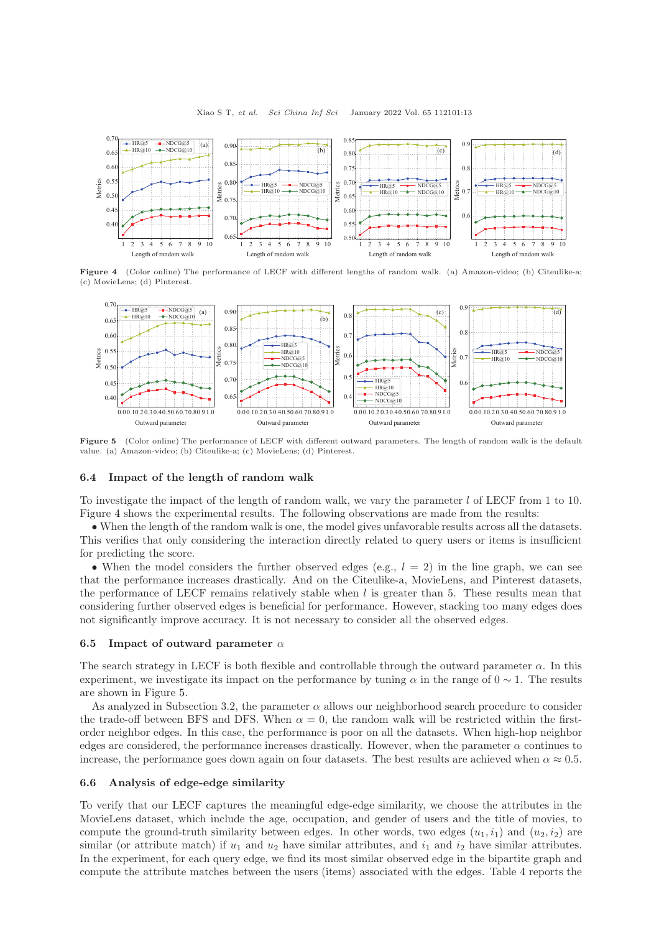<span id="page-12-1"></span>

<span id="page-12-2"></span>Figure 4 (Color online) The performance of LECF with different lengths of random walk. (a) Amazon-video; (b) Citeulike-a; (c) MovieLens; (d) Pinterest.



Figure 5 (Color online) The performance of LECF with different outward parameters. The length of random walk is the default value. (a) Amazon-video; (b) Citeulike-a; (c) MovieLens; (d) Pinterest.

# 6.4 Impact of the length of random walk

To investigate the impact of the length of random walk, we vary the parameter l of LECF from 1 to 10. Figure [4](#page-12-1) shows the experimental results. The following observations are made from the results:

• When the length of the random walk is one, the model gives unfavorable results across all the datasets. This verifies that only considering the interaction directly related to query users or items is insufficient for predicting the score.

• When the model considers the further observed edges (e.g.,  $l = 2$ ) in the line graph, we can see that the performance increases drastically. And on the Citeulike-a, MovieLens, and Pinterest datasets, the performance of LECF remains relatively stable when  $l$  is greater than 5. These results mean that considering further observed edges is beneficial for performance. However, stacking too many edges does not significantly improve accuracy. It is not necessary to consider all the observed edges.

# 6.5 Impact of outward parameter  $\alpha$

The search strategy in LECF is both flexible and controllable through the outward parameter  $\alpha$ . In this experiment, we investigate its impact on the performance by tuning  $\alpha$  in the range of  $0 \sim 1$ . The results are shown in Figure [5.](#page-12-2)

As analyzed in Subsection 3.2, the parameter  $\alpha$  allows our neighborhood search procedure to consider the trade-off between BFS and DFS. When  $\alpha = 0$ , the random walk will be restricted within the firstorder neighbor edges. In this case, the performance is poor on all the datasets. When high-hop neighbor edges are considered, the performance increases drastically. However, when the parameter  $\alpha$  continues to increase, the performance goes down again on four datasets. The best results are achieved when  $\alpha \approx 0.5$ .

## <span id="page-12-0"></span>6.6 Analysis of edge-edge similarity

To verify that our LECF captures the meaningful edge-edge similarity, we choose the attributes in the MovieLens dataset, which include the age, occupation, and gender of users and the title of movies, to compute the ground-truth similarity between edges. In other words, two edges  $(u_1, i_1)$  and  $(u_2, i_2)$  are similar (or attribute match) if  $u_1$  and  $u_2$  have similar attributes, and  $i_1$  and  $i_2$  have similar attributes. In the experiment, for each query edge, we find its most similar observed edge in the bipartite graph and compute the attribute matches between the users (items) associated with the edges. Table [4](#page-13-1) reports the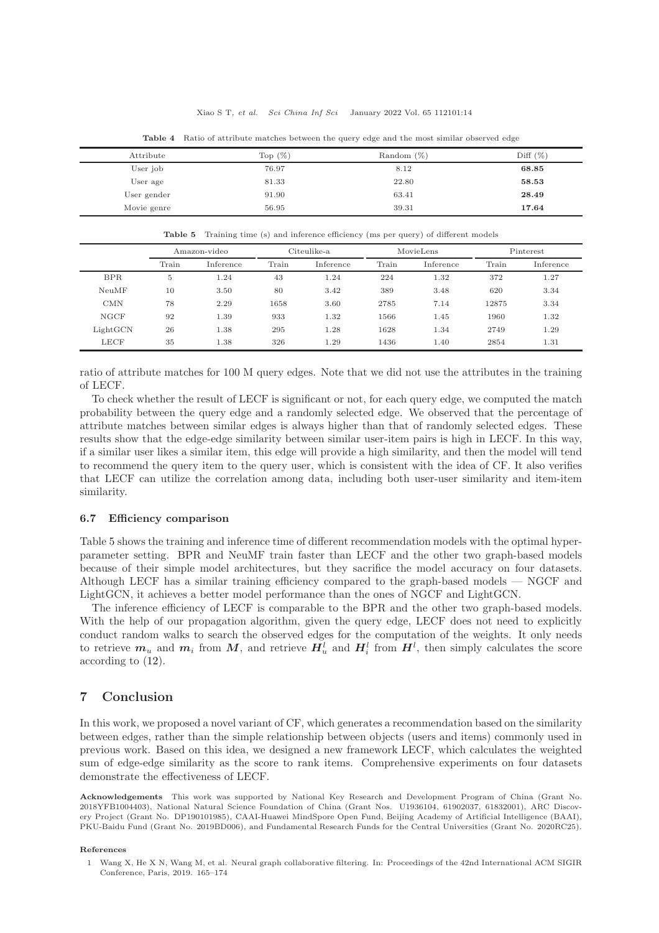<span id="page-13-1"></span>

| Attribute   | Top $(\%)$ | Random $(\%)$ | Diff $(\%)$ |
|-------------|------------|---------------|-------------|
| User job    | 76.97      | 8.12          | 68.85       |
| User age    | 81.33      | 22.80         | 58.53       |
| User gender | 91.90      | 63.41         | 28.49       |
| Movie genre | 56.95      | 39.31         | 17.64       |

Table 4 Ratio of attribute matches between the query edge and the most similar observed edge

Table 5 Training time (s) and inference efficiency (ms per query) of different models

<span id="page-13-2"></span>

|             | Amazon-video |           | Citeulike-a |           | MovieLens |           | Pinterest |           |
|-------------|--------------|-----------|-------------|-----------|-----------|-----------|-----------|-----------|
|             | Train        | Inference | Train       | Inference | Train     | Inference | Train     | Inference |
| <b>BPR</b>  | 5            | 1.24      | 43          | 1.24      | 224       | 1.32      | 372       | 1.27      |
| NeuMF       | 10           | 3.50      | 80          | 3.42      | 389       | 3.48      | 620       | 3.34      |
| <b>CMN</b>  | 78           | 2.29      | 1658        | 3.60      | 2785      | 7.14      | 12875     | 3.34      |
| <b>NGCF</b> | 92           | 1.39      | 933         | 1.32      | 1566      | 1.45      | 1960      | 1.32      |
| LightGCN    | 26           | 1.38      | 295         | 1.28      | 1628      | 1.34      | 2749      | 1.29      |
| <b>LECF</b> | 35           | 1.38      | 326         | 1.29      | 1436      | 1.40      | 2854      | 1.31      |

ratio of attribute matches for 100 M query edges. Note that we did not use the attributes in the training of LECF.

To check whether the result of LECF is significant or not, for each query edge, we computed the match probability between the query edge and a randomly selected edge. We observed that the percentage of attribute matches between similar edges is always higher than that of randomly selected edges. These results show that the edge-edge similarity between similar user-item pairs is high in LECF. In this way, if a similar user likes a similar item, this edge will provide a high similarity, and then the model will tend to recommend the query item to the query user, which is consistent with the idea of CF. It also verifies that LECF can utilize the correlation among data, including both user-user similarity and item-item similarity.

#### 6.7 Efficiency comparison

Table [5](#page-13-2) shows the training and inference time of different recommendation models with the optimal hyperparameter setting. BPR and NeuMF train faster than LECF and the other two graph-based models because of their simple model architectures, but they sacrifice the model accuracy on four datasets. Although LECF has a similar training efficiency compared to the graph-based models — NGCF and LightGCN, it achieves a better model performance than the ones of NGCF and LightGCN.

The inference efficiency of LECF is comparable to the BPR and the other two graph-based models. With the help of our propagation algorithm, given the query edge, LECF does not need to explicitly conduct random walks to search the observed edges for the computation of the weights. It only needs to retrieve  $m_u$  and  $m_i$  from  $M$ , and retrieve  $H_u^l$  and  $H_i^l$  from  $H^l$ , then simply calculates the score according to [\(12\)](#page-6-0).

# 7 Conclusion

In this work, we proposed a novel variant of CF, which generates a recommendation based on the similarity between edges, rather than the simple relationship between objects (users and items) commonly used in previous work. Based on this idea, we designed a new framework LECF, which calculates the weighted sum of edge-edge similarity as the score to rank items. Comprehensive experiments on four datasets demonstrate the effectiveness of LECF.

Acknowledgements This work was supported by National Key Research and Development Program of China (Grant No. 2018YFB1004403), National Natural Science Foundation of China (Grant Nos. U1936104, 61902037, 61832001), ARC Discovery Project (Grant No. DP190101985), CAAI-Huawei MindSpore Open Fund, Beijing Academy of Artificial Intelligence (BAAI), PKU-Baidu Fund (Grant No. 2019BD006), and Fundamental Research Funds for the Central Universities (Grant No. 2020RC25).

#### <span id="page-13-0"></span>References

1 Wang X, He X N, Wang M, et al. Neural graph collaborative filtering. In: Proceedings of the 42nd International ACM SIGIR Conference, Paris, 2019. 165–174